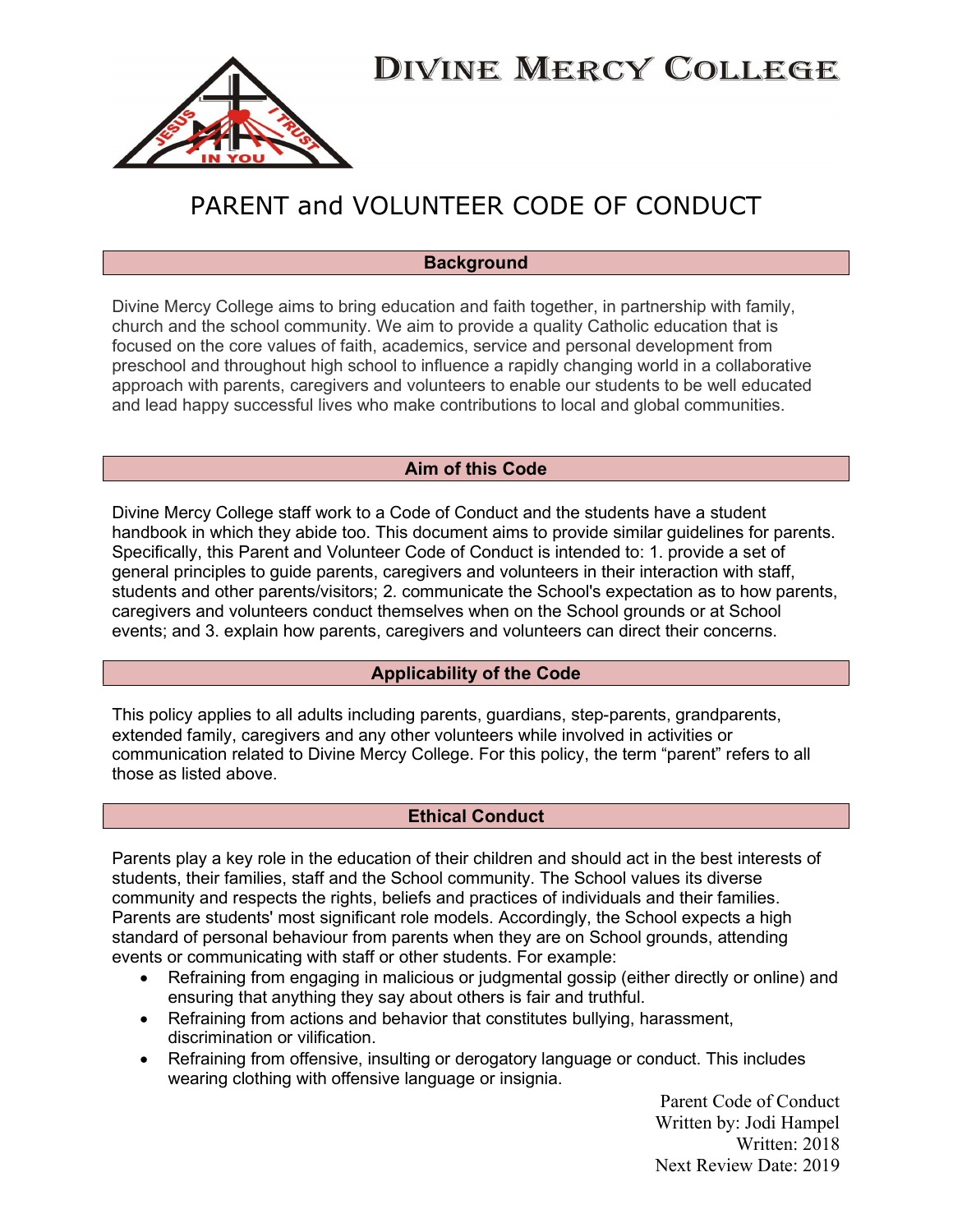

### PARENT and VOLUNTEER CODE OF CONDUCT

#### **Background**

Divine Mercy College aims to bring education and faith together, in partnership with family, church and the school community. We aim to provide a quality Catholic education that is focused on the core values of faith, academics, service and personal development from preschool and throughout high school to influence a rapidly changing world in a collaborative approach with parents, caregivers and volunteers to enable our students to be well educated and lead happy successful lives who make contributions to local and global communities.

#### Aim of this Code

Divine Mercy College staff work to a Code of Conduct and the students have a student handbook in which they abide too. This document aims to provide similar guidelines for parents. Specifically, this Parent and Volunteer Code of Conduct is intended to: 1. provide a set of general principles to guide parents, caregivers and volunteers in their interaction with staff, students and other parents/visitors; 2. communicate the School's expectation as to how parents, caregivers and volunteers conduct themselves when on the School grounds or at School events; and 3. explain how parents, caregivers and volunteers can direct their concerns.

#### Applicability of the Code

This policy applies to all adults including parents, guardians, step-parents, grandparents, extended family, caregivers and any other volunteers while involved in activities or communication related to Divine Mercy College. For this policy, the term "parent" refers to all those as listed above.

#### Ethical Conduct

Parents play a key role in the education of their children and should act in the best interests of students, their families, staff and the School community. The School values its diverse community and respects the rights, beliefs and practices of individuals and their families. Parents are students' most significant role models. Accordingly, the School expects a high standard of personal behaviour from parents when they are on School grounds, attending events or communicating with staff or other students. For example:

- Refraining from engaging in malicious or judgmental gossip (either directly or online) and ensuring that anything they say about others is fair and truthful.
- Refraining from actions and behavior that constitutes bullying, harassment, discrimination or vilification.
- Refraining from offensive, insulting or derogatory language or conduct. This includes wearing clothing with offensive language or insignia.

Parent Code of Conduct Written by: Jodi Hampel Written: 2018 Next Review Date: 2019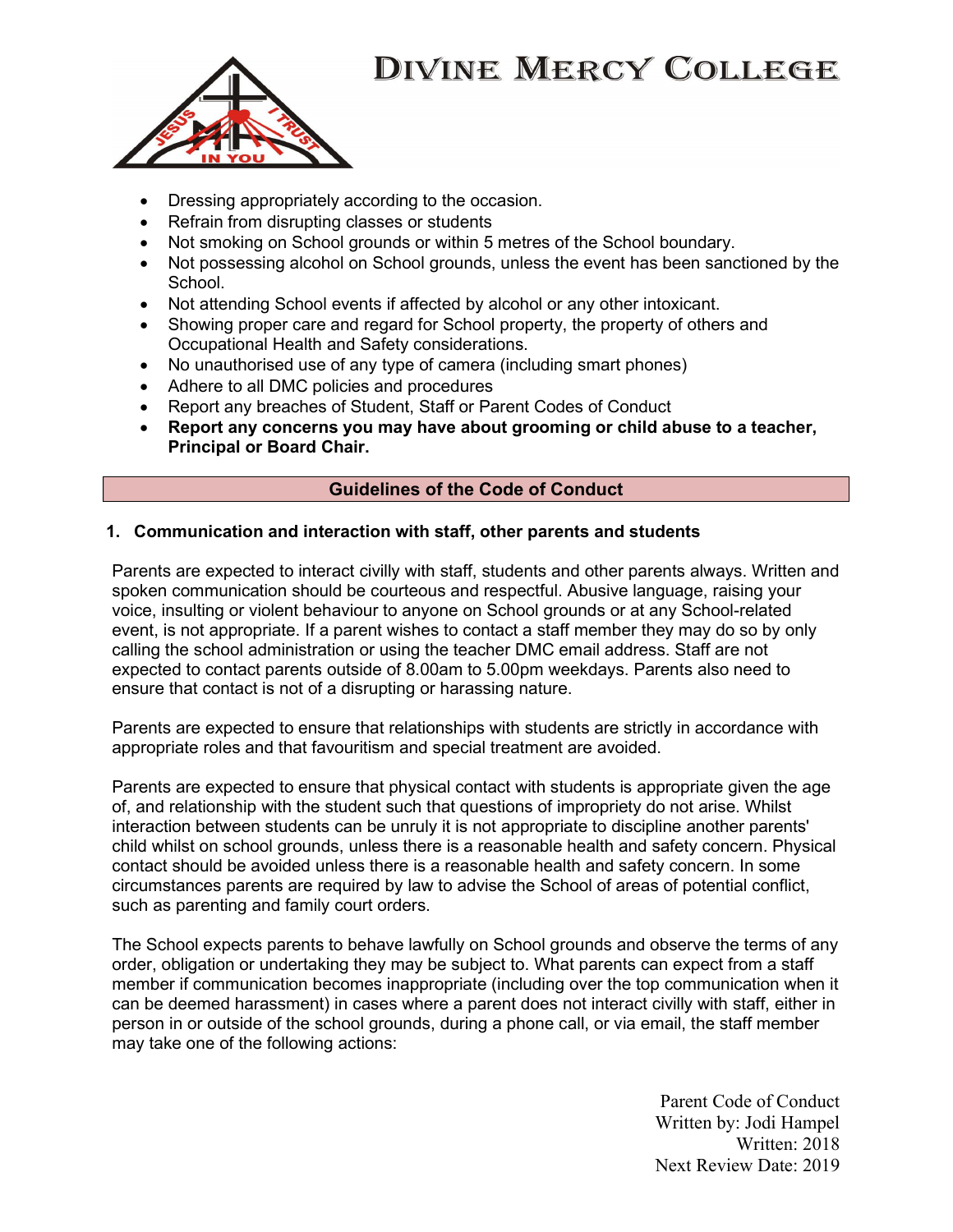

- Dressing appropriately according to the occasion.
- Refrain from disrupting classes or students
- Not smoking on School grounds or within 5 metres of the School boundary.
- Not possessing alcohol on School grounds, unless the event has been sanctioned by the School.
- Not attending School events if affected by alcohol or any other intoxicant.
- Showing proper care and regard for School property, the property of others and Occupational Health and Safety considerations.
- No unauthorised use of any type of camera (including smart phones)
- Adhere to all DMC policies and procedures
- Report any breaches of Student, Staff or Parent Codes of Conduct
- Report any concerns you may have about grooming or child abuse to a teacher, Principal or Board Chair.

#### Guidelines of the Code of Conduct

#### 1. Communication and interaction with staff, other parents and students

Parents are expected to interact civilly with staff, students and other parents always. Written and spoken communication should be courteous and respectful. Abusive language, raising your voice, insulting or violent behaviour to anyone on School grounds or at any School-related event, is not appropriate. If a parent wishes to contact a staff member they may do so by only calling the school administration or using the teacher DMC email address. Staff are not expected to contact parents outside of 8.00am to 5.00pm weekdays. Parents also need to ensure that contact is not of a disrupting or harassing nature.

Parents are expected to ensure that relationships with students are strictly in accordance with appropriate roles and that favouritism and special treatment are avoided.

Parents are expected to ensure that physical contact with students is appropriate given the age of, and relationship with the student such that questions of impropriety do not arise. Whilst interaction between students can be unruly it is not appropriate to discipline another parents' child whilst on school grounds, unless there is a reasonable health and safety concern. Physical contact should be avoided unless there is a reasonable health and safety concern. In some circumstances parents are required by law to advise the School of areas of potential conflict, such as parenting and family court orders.

The School expects parents to behave lawfully on School grounds and observe the terms of any order, obligation or undertaking they may be subject to. What parents can expect from a staff member if communication becomes inappropriate (including over the top communication when it can be deemed harassment) in cases where a parent does not interact civilly with staff, either in person in or outside of the school grounds, during a phone call, or via email, the staff member may take one of the following actions:

> Parent Code of Conduct Written by: Jodi Hampel Written: 2018 Next Review Date: 2019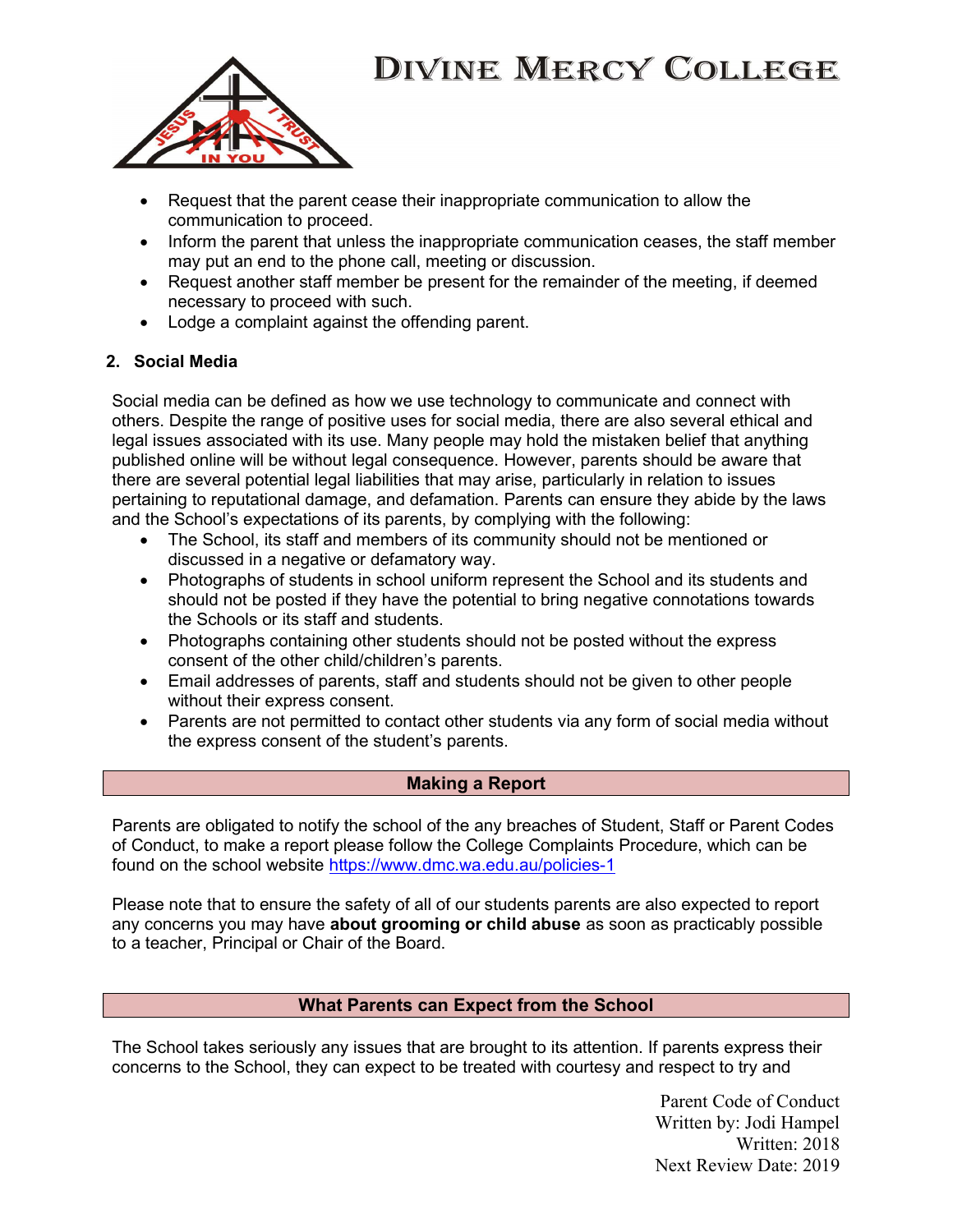

- Request that the parent cease their inappropriate communication to allow the communication to proceed.
- Inform the parent that unless the inappropriate communication ceases, the staff member may put an end to the phone call, meeting or discussion.
- Request another staff member be present for the remainder of the meeting, if deemed necessary to proceed with such.
- Lodge a complaint against the offending parent.

### 2. Social Media

Social media can be defined as how we use technology to communicate and connect with others. Despite the range of positive uses for social media, there are also several ethical and legal issues associated with its use. Many people may hold the mistaken belief that anything published online will be without legal consequence. However, parents should be aware that there are several potential legal liabilities that may arise, particularly in relation to issues pertaining to reputational damage, and defamation. Parents can ensure they abide by the laws and the School's expectations of its parents, by complying with the following:

- The School, its staff and members of its community should not be mentioned or discussed in a negative or defamatory way.
- Photographs of students in school uniform represent the School and its students and should not be posted if they have the potential to bring negative connotations towards the Schools or its staff and students.
- Photographs containing other students should not be posted without the express consent of the other child/children's parents.
- Email addresses of parents, staff and students should not be given to other people without their express consent.
- Parents are not permitted to contact other students via any form of social media without the express consent of the student's parents.

### Making a Report

Parents are obligated to notify the school of the any breaches of Student, Staff or Parent Codes of Conduct, to make a report please follow the College Complaints Procedure, which can be found on the school website https://www.dmc.wa.edu.au/policies-1

Please note that to ensure the safety of all of our students parents are also expected to report any concerns you may have about grooming or child abuse as soon as practicably possible to a teacher, Principal or Chair of the Board.

#### What Parents can Expect from the School

The School takes seriously any issues that are brought to its attention. If parents express their concerns to the School, they can expect to be treated with courtesy and respect to try and

> Parent Code of Conduct Written by: Jodi Hampel Written: 2018 Next Review Date: 2019